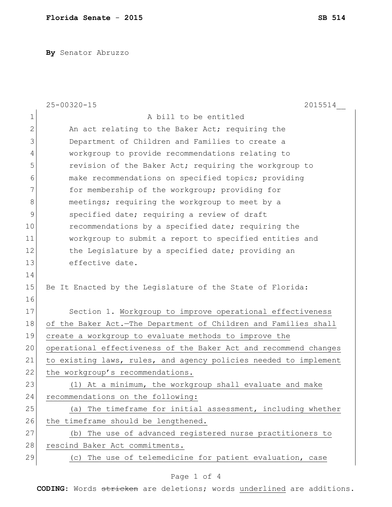**By** Senator Abruzzo

|                | $25 - 00320 - 15$<br>2015514                                     |
|----------------|------------------------------------------------------------------|
| $\mathbf 1$    | A bill to be entitled                                            |
| $\overline{2}$ | An act relating to the Baker Act; requiring the                  |
| 3              | Department of Children and Families to create a                  |
| 4              | workgroup to provide recommendations relating to                 |
| 5              | revision of the Baker Act; requiring the workgroup to            |
| 6              | make recommendations on specified topics; providing              |
| 7              | for membership of the workgroup; providing for                   |
| 8              | meetings; requiring the workgroup to meet by a                   |
| 9              | specified date; requiring a review of draft                      |
| 10             | recommendations by a specified date; requiring the               |
| 11             | workgroup to submit a report to specified entities and           |
| 12             | the Legislature by a specified date; providing an                |
| 13             | effective date.                                                  |
| 14             |                                                                  |
| 15             | Be It Enacted by the Legislature of the State of Florida:        |
| 16             |                                                                  |
| 17             | Section 1. Workgroup to improve operational effectiveness        |
| 18             | of the Baker Act.-The Department of Children and Families shall  |
| 19             | create a workgroup to evaluate methods to improve the            |
| 20             | operational effectiveness of the Baker Act and recommend changes |
| 21             | to existing laws, rules, and agency policies needed to implement |
| 22             | the workgroup's recommendations.                                 |
| 23             | (1) At a minimum, the workgroup shall evaluate and make          |
| 24             | recommendations on the following:                                |
| 25             | (a) The timeframe for initial assessment, including whether      |
| 26             | the timeframe should be lengthened.                              |
| 27             | (b) The use of advanced registered nurse practitioners to        |
| 28             | rescind Baker Act commitments.                                   |
| 29             | (c) The use of telemedicine for patient evaluation, case         |

## Page 1 of 4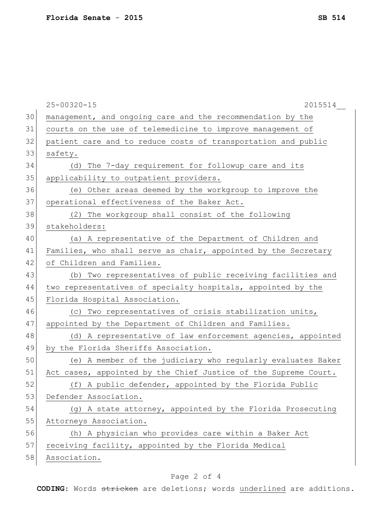|    | $25 - 00320 - 15$<br>2015514                                    |
|----|-----------------------------------------------------------------|
| 30 | management, and ongoing care and the recommendation by the      |
| 31 | courts on the use of telemedicine to improve management of      |
| 32 | patient care and to reduce costs of transportation and public   |
| 33 | safety.                                                         |
| 34 | (d) The 7-day requirement for followup care and its             |
| 35 | applicability to outpatient providers.                          |
| 36 | (e) Other areas deemed by the workgroup to improve the          |
| 37 | operational effectiveness of the Baker Act.                     |
| 38 | (2) The workgroup shall consist of the following                |
| 39 | stakeholders:                                                   |
| 40 | (a) A representative of the Department of Children and          |
| 41 | Families, who shall serve as chair, appointed by the Secretary  |
| 42 | of Children and Families.                                       |
| 43 | (b) Two representatives of public receiving facilities and      |
| 44 | two representatives of specialty hospitals, appointed by the    |
| 45 | Florida Hospital Association.                                   |
| 46 | (c) Two representatives of crisis stabilization units,          |
| 47 | appointed by the Department of Children and Families.           |
| 48 | (d) A representative of law enforcement agencies, appointed     |
| 49 | by the Florida Sheriffs Association.                            |
| 50 | (e) A member of the judiciary who regularly evaluates Baker     |
| 51 | Act cases, appointed by the Chief Justice of the Supreme Court. |
| 52 | (f) A public defender, appointed by the Florida Public          |
| 53 | Defender Association.                                           |
| 54 | (g) A state attorney, appointed by the Florida Prosecuting      |
| 55 | Attorneys Association.                                          |
| 56 | (h) A physician who provides care within a Baker Act            |
| 57 | receiving facility, appointed by the Florida Medical            |
| 58 | Association.                                                    |

## Page 2 of 4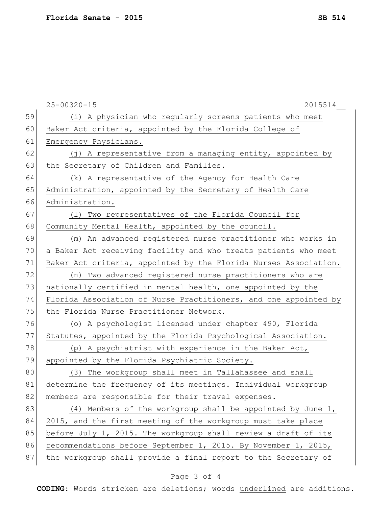|    | $25 - 00320 - 15$<br>2015514                                     |
|----|------------------------------------------------------------------|
| 59 | (i) A physician who regularly screens patients who meet          |
| 60 | Baker Act criteria, appointed by the Florida College of          |
| 61 | Emergency Physicians.                                            |
| 62 | (j) A representative from a managing entity, appointed by        |
| 63 | the Secretary of Children and Families.                          |
| 64 | (k) A representative of the Agency for Health Care               |
| 65 | Administration, appointed by the Secretary of Health Care        |
| 66 | Administration.                                                  |
| 67 | (1) Two representatives of the Florida Council for               |
| 68 | Community Mental Health, appointed by the council.               |
| 69 | (m) An advanced registered nurse practitioner who works in       |
| 70 | a Baker Act receiving facility and who treats patients who meet  |
| 71 | Baker Act criteria, appointed by the Florida Nurses Association. |
| 72 | (n) Two advanced registered nurse practitioners who are          |
| 73 | nationally certified in mental health, one appointed by the      |
| 74 | Florida Association of Nurse Practitioners, and one appointed by |
| 75 | the Florida Nurse Practitioner Network.                          |
| 76 | (o) A psychologist licensed under chapter 490, Florida           |
| 77 | Statutes, appointed by the Florida Psychological Association.    |
| 78 | (p) A psychiatrist with experience in the Baker Act,             |
| 79 | appointed by the Florida Psychiatric Society.                    |
| 80 | (3) The workgroup shall meet in Tallahassee and shall            |
| 81 | determine the frequency of its meetings. Individual workgroup    |
| 82 | members are responsible for their travel expenses.               |
| 83 | (4) Members of the workgroup shall be appointed by June 1,       |
| 84 | 2015, and the first meeting of the workgroup must take place     |
| 85 | before July 1, 2015. The workgroup shall review a draft of its   |
| 86 | recommendations before September 1, 2015. By November 1, 2015,   |
| 87 | the workgroup shall provide a final report to the Secretary of   |

## Page 3 of 4